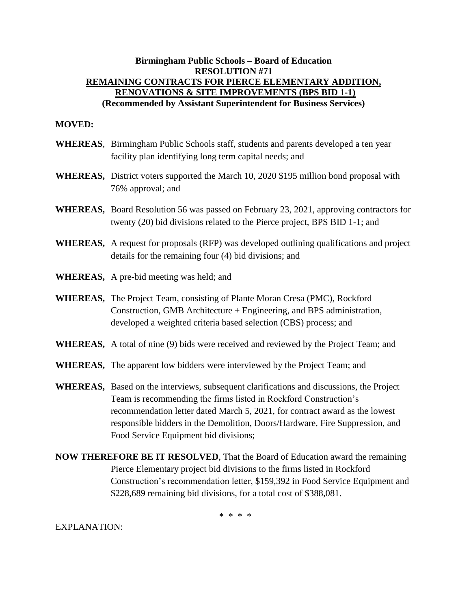## **Birmingham Public Schools – Board of Education RESOLUTION #71 REMAINING CONTRACTS FOR PIERCE ELEMENTARY ADDITION, RENOVATIONS & SITE IMPROVEMENTS (BPS BID 1-1) (Recommended by Assistant Superintendent for Business Services)**

## **MOVED:**

- **WHEREAS**, Birmingham Public Schools staff, students and parents developed a ten year facility plan identifying long term capital needs; and
- **WHEREAS,** District voters supported the March 10, 2020 \$195 million bond proposal with 76% approval; and
- **WHEREAS,** Board Resolution 56 was passed on February 23, 2021, approving contractors for twenty (20) bid divisions related to the Pierce project, BPS BID 1-1; and
- **WHEREAS,** A request for proposals (RFP) was developed outlining qualifications and project details for the remaining four (4) bid divisions; and
- **WHEREAS,** A pre-bid meeting was held; and
- **WHEREAS,** The Project Team, consisting of Plante Moran Cresa (PMC), Rockford Construction, GMB Architecture + Engineering, and BPS administration, developed a weighted criteria based selection (CBS) process; and
- **WHEREAS,** A total of nine (9) bids were received and reviewed by the Project Team; and
- **WHEREAS,** The apparent low bidders were interviewed by the Project Team; and
- **WHEREAS,** Based on the interviews, subsequent clarifications and discussions, the Project Team is recommending the firms listed in Rockford Construction's recommendation letter dated March 5, 2021, for contract award as the lowest responsible bidders in the Demolition, Doors/Hardware, Fire Suppression, and Food Service Equipment bid divisions;
- **NOW THEREFORE BE IT RESOLVED**, That the Board of Education award the remaining Pierce Elementary project bid divisions to the firms listed in Rockford Construction's recommendation letter, \$159,392 in Food Service Equipment and \$228,689 remaining bid divisions, for a total cost of \$388,081.

\* \* \* \*

EXPLANATION: